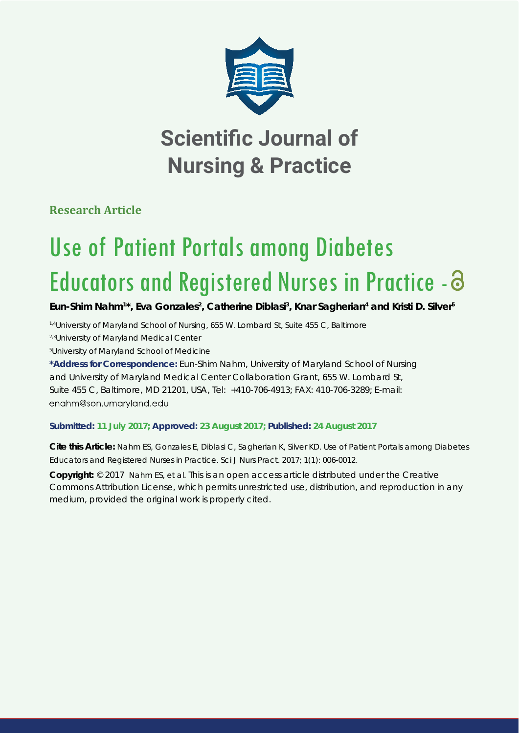

# **Scientific Journal of Nursing & Practice**

**Research Article**

# Use of Patient Portals among Diabetes Educators and Registered Nurses in Practice -

Eun-Shim Nahm<sup>1\*</sup>, Eva Gonzales<sup>2</sup>, Catherine Diblasi<sup>3</sup>, Knar Sagherian<sup>4</sup> and Kristi D. Silver<sup>5</sup>

*1,4University of Maryland School of Nursing, 655 W. Lombard St, Suite 455 C, Baltimore 2,3University of Maryland Medical Center* 

*5 University of Maryland School of Medicine*

**\*Address for Correspondence:** Eun-Shim Nahm, University of Maryland School of Nursing and University of Maryland Medical Center Collaboration Grant, 655 W. Lombard St, Suite 455 C, Baltimore, MD 21201, USA, Tel: +410-706-4913; FAX: 410-706-3289; E-mail: enahm@son.umaryland.edu

# **Submitted: 11 July 2017; Approved: 23 August 2017; Published: 24 August 2017**

**Cite this Article:** Nahm ES, Gonzales E, Diblasi C, Sagherian K, Silver KD. Use of Patient Portals among Diabetes Educators and Registered Nurses in Practice. Sci J Nurs Pract. 2017; 1(1): 006-0012.

**Copyright:** © 2017 Nahm ES, et al. This is an open access article distributed under the Creative Commons Attribution License, which permits unrestricted use, distribution, and reproduction in any medium, provided the original work is properly cited.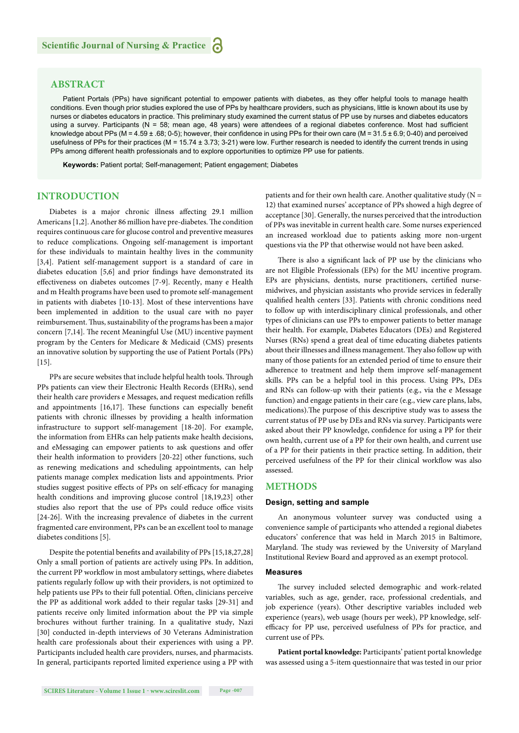# **ABSTRACT**

Patient Portals (PPs) have significant potential to empower patients with diabetes, as they offer helpful tools to manage health conditions. Even though prior studies explored the use of PPs by healthcare providers, such as physicians, little is known about its use by nurses or diabetes educators in practice. This preliminary study examined the current status of PP use by nurses and diabetes educators using a survey. Participants (N = 58; mean age, 48 years) were attendees of a regional diabetes conference. Most had sufficient knowledge about PPs (M = 4.59  $\pm$  .68; 0-5); however, their confidence in using PPs for their own care (M = 31.5  $\pm$  6.9; 0-40) and perceived usefulness of PPs for their practices ( $M = 15.74 \pm 3.73$ ; 3-21) were low. Further research is needed to identify the current trends in using PPs among different health professionals and to explore opportunities to optimize PP use for patients.

**Keywords:** Patient portal; Self-management; Patient engagement; Diabetes

#### **INTRODUCTION**

Diabetes is a major chronic illness affecting 29.1 million Americans [1,2]. Another 86 million have pre-diabetes. The condition requires continuous care for glucose control and preventive measures to reduce complications. Ongoing self-management is important for these individuals to maintain healthy lives in the community [3,4]. Patient self-management support is a standard of care in diabetes education [5,6] and prior findings have demonstrated its effectiveness on diabetes outcomes [7-9]. Recently, many e Health and m Health programs have been used to promote self-management in patients with diabetes [10-13]. Most of these interventions have been implemented in addition to the usual care with no payer reimbursement. Thus, sustainability of the programs has been a major concern  $[7,14]$ . The recent Meaningful Use (MU) incentive payment program by the Centers for Medicare & Medicaid (CMS) presents an innovative solution by supporting the use of Patient Portals (PPs)  $[15]$ .

PPs are secure websites that include helpful health tools. Through PPs patients can view their Electronic Health Records (EHRs), send their health care providers e Messages, and request medication refills and appointments  $[16,17]$ . These functions can especially benefit patients with chronic illnesses by providing a health information infrastructure to support self-management [18-20]. For example, the information from EHRs can help patients make health decisions, and eMessaging can empower patients to ask questions and offer their health information to providers [20-22] other functions, such as renewing medications and scheduling appointments, can help patients manage complex medication lists and appointments. Prior studies suggest positive effects of PPs on self-efficacy for managing health conditions and improving glucose control [18,19,23] other studies also report that the use of PPs could reduce office visits [24-26]. With the increasing prevalence of diabetes in the current fragmented care environment, PPs can be an excellent tool to manage diabetes conditions [5].

Despite the potential benefits and availability of PPs [15,18,27,28] Only a small portion of patients are actively using PPs. In addition, the current PP workflow in most ambulatory settings, where diabetes patients regularly follow up with their providers, is not optimized to help patients use PPs to their full potential. Often, clinicians perceive the PP as additional work added to their regular tasks [29-31] and patients receive only limited information about the PP via simple brochures without further training. In a qualitative study, Nazi [30] conducted in-depth interviews of 30 Veterans Administration health care professionals about their experiences with using a PP. Participants included health care providers, nurses, and pharmacists. In general, participants reported limited experience using a PP with

patients and for their own health care. Another qualitative study ( $N =$ 12) that examined nurses' acceptance of PPs showed a high degree of acceptance [30]. Generally, the nurses perceived that the introduction of PPs was inevitable in current health care. Some nurses experienced an increased workload due to patients asking more non-urgent questions via the PP that otherwise would not have been asked.

There is also a significant lack of PP use by the clinicians who are not Eligible Professionals (EPs) for the MU incentive program. EPs are physicians, dentists, nurse practitioners, certified nursemidwives, and physician assistants who provide services in federally qualified health centers [33]. Patients with chronic conditions need to follow up with interdisciplinary clinical professionals, and other types of clinicians can use PPs to empower patients to better manage their health. For example, Diabetes Educators (DEs) and Registered Nurses (RNs) spend a great deal of time educating diabetes patients about their illnesses and illness management. They also follow up with many of those patients for an extended period of time to ensure their adherence to treatment and help them improve self-management skills. PPs can be a helpful tool in this process. Using PPs, DEs and RNs can follow-up with their patients (e.g., via the e Message function) and engage patients in their care (e.g., view care plans, labs, medications). The purpose of this descriptive study was to assess the current status of PP use by DEs and RNs via survey. Participants were asked about their PP knowledge, confidence for using a PP for their own health, current use of a PP for their own health, and current use of a PP for their patients in their practice setting. In addition, their perceived usefulness of the PP for their clinical workflow was also assessed.

#### **METHODS**

#### **Design, setting and sample**

An anonymous volunteer survey was conducted using a convenience sample of participants who attended a regional diabetes educators' conference that was held in March 2015 in Baltimore, Maryland. The study was reviewed by the University of Maryland Institutional Review Board and approved as an exempt protocol.

#### **Measures**

The survey included selected demographic and work-related variables, such as age, gender, race, professional credentials, and job experience (years). Other descriptive variables included web experience (years), web usage (hours per week), PP knowledge, selfefficacy for PP use, perceived usefulness of PPs for practice, and current use of PPs.

**Patient portal knowledge:** Participants' patient portal knowledge was assessed using a 5-item questionnaire that was tested in our prior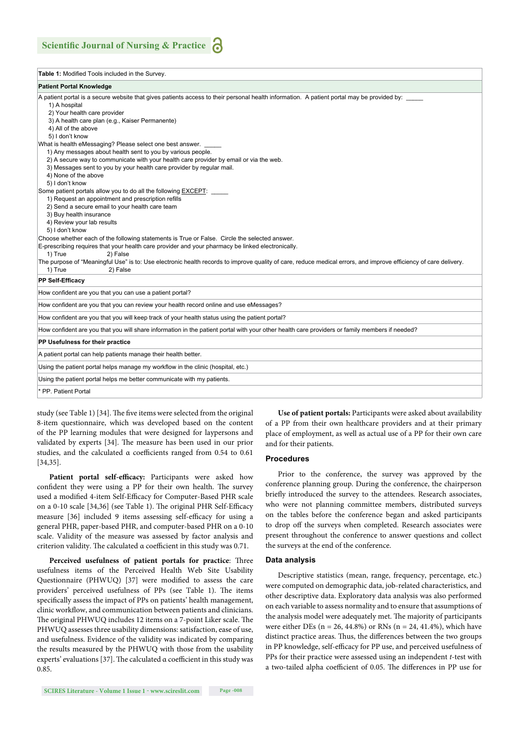| Table 1: Modified Tools included in the Survey.                                                                                                                                                                                                                                                                                                                                                                                                                   |
|-------------------------------------------------------------------------------------------------------------------------------------------------------------------------------------------------------------------------------------------------------------------------------------------------------------------------------------------------------------------------------------------------------------------------------------------------------------------|
| <b>Patient Portal Knowledge</b>                                                                                                                                                                                                                                                                                                                                                                                                                                   |
| A patient portal is a secure website that gives patients access to their personal health information. A patient portal may be provided by:<br>1) A hospital<br>2) Your health care provider<br>3) A health care plan (e.g., Kaiser Permanente)<br>4) All of the above<br>5) I don't know                                                                                                                                                                          |
| What is health eMessaging? Please select one best answer.<br>1) Any messages about health sent to you by various people.<br>2) A secure way to communicate with your health care provider by email or via the web.<br>3) Messages sent to you by your health care provider by regular mail.<br>4) None of the above<br>5) I don't know                                                                                                                            |
| Some patient portals allow you to do all the following <b>EXCEPT</b> :<br>1) Request an appointment and prescription refills<br>2) Send a secure email to your health care team<br>3) Buy health insurance<br>4) Review your lab results<br>5) I don't know<br>Choose whether each of the following statements is True or False. Circle the selected answer.<br>E-prescribing requires that your health care provider and your pharmacy be linked electronically. |
| 1) True<br>2) False<br>The purpose of "Meaningful Use" is to: Use electronic health records to improve quality of care, reduce medical errors, and improve efficiency of care delivery.<br>1) True<br>2) False                                                                                                                                                                                                                                                    |
| <b>PP Self-Efficacy</b>                                                                                                                                                                                                                                                                                                                                                                                                                                           |
| How confident are you that you can use a patient portal?                                                                                                                                                                                                                                                                                                                                                                                                          |
| How confident are you that you can review your health record online and use eMessages?                                                                                                                                                                                                                                                                                                                                                                            |
| How confident are you that you will keep track of your health status using the patient portal?                                                                                                                                                                                                                                                                                                                                                                    |
| How confident are you that you will share information in the patient portal with your other health care providers or family members if needed?                                                                                                                                                                                                                                                                                                                    |
| PP Usefulness for their practice                                                                                                                                                                                                                                                                                                                                                                                                                                  |
| A patient portal can help patients manage their health better.                                                                                                                                                                                                                                                                                                                                                                                                    |
| Using the patient portal helps manage my workflow in the clinic (hospital, etc.)                                                                                                                                                                                                                                                                                                                                                                                  |
| Using the patient portal helps me better communicate with my patients.                                                                                                                                                                                                                                                                                                                                                                                            |
| * PP. Patient Portal                                                                                                                                                                                                                                                                                                                                                                                                                                              |

study (see Table 1) [34]. The five items were selected from the original 8-item questionnaire, which was developed based on the content of the PP learning modules that were designed for laypersons and validated by experts [34]. The measure has been used in our prior studies, and the calculated α coefficients ranged from 0.54 to 0.61 [34,35].

Patient portal self-efficacy: Participants were asked how confident they were using a PP for their own health. The survey used a modified 4-item Self-Efficacy for Computer-Based PHR scale on a 0-10 scale [34,36] (see Table 1). The original PHR Self-Efficacy measure [36] included 9 items assessing self-efficacy for using a general PHR, paper-based PHR, and computer-based PHR on a 0-10 scale. Validity of the measure was assessed by factor analysis and criterion validity. The calculated α coefficient in this study was 0.71.

Perceived usefulness of patient portals for practice: Three usefulness items of the Perceived Health Web Site Usability Questionnaire (PHWUQ) [37] were modified to assess the care providers' perceived usefulness of PPs (see Table 1). The items specifically assess the impact of PPs on patients' health management, clinic workflow, and communication between patients and clinicians. The original PHWUQ includes 12 items on a 7-point Liker scale. The PHWUQ assesses three usability dimensions: satisfaction, ease of use, and usefulness. Evidence of the validity was indicated by comparing the results measured by the PHWUQ with those from the usability experts' evaluations [37]. The calculated  $\alpha$  coefficient in this study was 0.85.

**Use of patient portals:** Participants were asked about availability of a PP from their own healthcare providers and at their primary place of employment, as well as actual use of a PP for their own care and for their patients.

#### **Procedures**

Prior to the conference, the survey was approved by the conference planning group. During the conference, the chairperson briefly introduced the survey to the attendees. Research associates, who were not planning committee members, distributed surveys on the tables before the conference began and asked participants to drop off the surveys when completed. Research associates were present throughout the conference to answer questions and collect the surveys at the end of the conference.

#### **Data analysis**

Descriptive statistics (mean, range, frequency, percentage, etc.) were computed on demographic data, job-related characteristics, and other descriptive data. Exploratory data analysis was also performed on each variable to assess normality and to ensure that assumptions of the analysis model were adequately met. The majority of participants were either DEs ( $n = 26, 44.8\%$ ) or RNs ( $n = 24, 41.4\%$ ), which have distinct practice areas. Thus, the differences between the two groups in PP knowledge, self-efficacy for PP use, and perceived usefulness of PPs for their practice were assessed using an independent *t*-test with a two-tailed alpha coefficient of 0.05. The differences in PP use for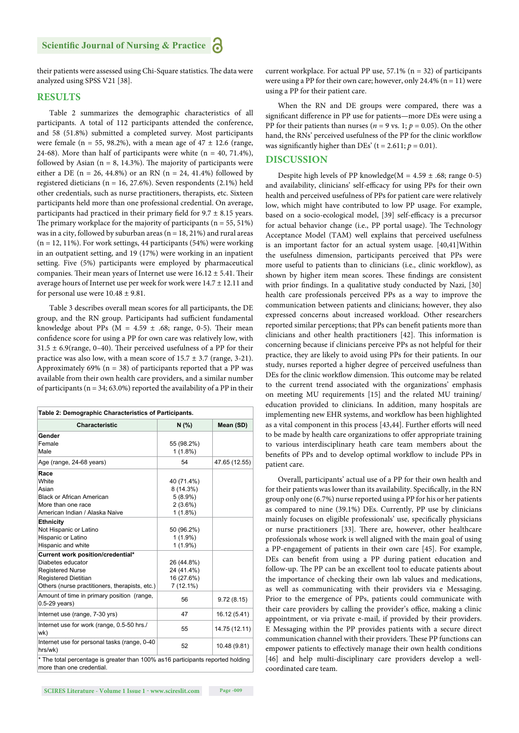their patients were assessed using Chi-Square statistics. The data were analyzed using SPSS V21 [38].

#### **RESULTS**

Table 2 summarizes the demographic characteristics of all participants. A total of 112 participants attended the conference, and 58 (51.8%) submitted a completed survey. Most participants were female (n = 55, 98.2%), with a mean age of  $47 \pm 12.6$  (range, 24-68). More than half of participants were white  $(n = 40, 71.4\%)$ , followed by Asian ( $n = 8$ , 14.3%). The majority of participants were either a DE ( $n = 26$ , 44.8%) or an RN ( $n = 24$ , 41.4%) followed by registered dieticians (n = 16, 27.6%). Seven respondents (2.1%) held other credentials, such as nurse practitioners, therapists, etc. Sixteen participants held more than one professional credential. On average, participants had practiced in their primary field for  $9.7 \pm 8.15$  years. The primary workplace for the majority of participants ( $n = 55, 51\%)$ was in a city, followed by suburban areas ( $n = 18, 21\%$ ) and rural areas  $(n = 12, 11\%)$ . For work settings, 44 participants (54%) were working in an outpatient setting, and 19 (17%) were working in an inpatient setting. Five (5%) participants were employed by pharmaceutical companies. Their mean years of Internet use were  $16.12 \pm 5.41$ . Their average hours of Internet use per week for work were 14.7 ± 12.11 and for personal use were  $10.48 \pm 9.81$ .

Table 3 describes overall mean scores for all participants, the DE group, and the RN group. Participants had sufficient fundamental knowledge about PPs ( $M = 4.59 \pm .68$ ; range, 0-5). Their mean confidence score for using a PP for own care was relatively low, with  $31.5 \pm 6.9$ (range, 0–40). Their perceived usefulness of a PP for their practice was also low, with a mean score of  $15.7 \pm 3.7$  (range, 3-21). Approximately 69% ( $n = 38$ ) of participants reported that a PP was available from their own health care providers, and a similar number of participants ( $n = 34$ ; 63.0%) reported the availability of a PP in their

| Table 2: Demographic Characteristics of Participants.                                                          |            |               |  |  |  |  |  |
|----------------------------------------------------------------------------------------------------------------|------------|---------------|--|--|--|--|--|
| <b>Characteristic</b>                                                                                          | N(% )      | Mean (SD)     |  |  |  |  |  |
| Gender                                                                                                         |            |               |  |  |  |  |  |
| Female                                                                                                         | 55 (98.2%) |               |  |  |  |  |  |
| Male                                                                                                           | $1(1.8\%)$ |               |  |  |  |  |  |
| Age (range, 24-68 years)                                                                                       | 54         | 47.65 (12.55) |  |  |  |  |  |
| Race                                                                                                           |            |               |  |  |  |  |  |
| White                                                                                                          | 40 (71.4%) |               |  |  |  |  |  |
| Asian                                                                                                          | 8 (14.3%)  |               |  |  |  |  |  |
| <b>Black or African American</b>                                                                               | $5(8.9\%)$ |               |  |  |  |  |  |
| More than one race                                                                                             | $2(3.6\%)$ |               |  |  |  |  |  |
| American Indian / Alaska Naive                                                                                 | 1(1.8%)    |               |  |  |  |  |  |
| <b>Ethnicity</b>                                                                                               |            |               |  |  |  |  |  |
| Not Hispanic or Latino                                                                                         | 50 (96.2%) |               |  |  |  |  |  |
| Hispanic or Latino                                                                                             | $1(1.9\%)$ |               |  |  |  |  |  |
| Hispanic and white                                                                                             | $1(1.9\%)$ |               |  |  |  |  |  |
| Current work position/credential*                                                                              |            |               |  |  |  |  |  |
| Diabetes educator                                                                                              | 26 (44.8%) |               |  |  |  |  |  |
| <b>Registered Nurse</b>                                                                                        | 24 (41.4%) |               |  |  |  |  |  |
| <b>Registered Dietitian</b>                                                                                    | 16 (27.6%) |               |  |  |  |  |  |
| Others (nurse practitioners, therapists, etc.)                                                                 | 7 (12.1%)  |               |  |  |  |  |  |
| Amount of time in primary position (range,<br>$0.5-29$ years)                                                  | 56         | 9.72(8.15)    |  |  |  |  |  |
| Internet use (range, 7-30 yrs)                                                                                 | 47         | 16.12 (5.41)  |  |  |  |  |  |
| Internet use for work (range, 0.5-50 hrs./<br>wk)                                                              | 55         | 14.75 (12.11) |  |  |  |  |  |
| Internet use for personal tasks (range, 0-40<br>hrs/wk)                                                        | 52         | 10.48 (9.81)  |  |  |  |  |  |
| * The total percentage is greater than 100% as 16 participants reported holding<br>المستقط والمستنقص والمستندر |            |               |  |  |  |  |  |

more than one credential.

**SCIRES Literature - Volume 1 Issue 1 - www.scireslit.com Page -009**

current workplace. For actual PP use,  $57.1\%$  (n = 32) of participants were using a PP for their own care; however, only 24.4% ( $n = 11$ ) were using a PP for their patient care.

When the RN and DE groups were compared, there was a significant difference in PP use for patients—more DEs were using a PP for their patients than nurses ( $n = 9$  vs. 1;  $p = 0.05$ ). On the other hand, the RNs' perceived usefulness of the PP for the clinic workflow was significantly higher than DEs' ( $t = 2.611$ ;  $p = 0.01$ ).

#### **DISCUSSION**

Despite high levels of PP knowledge( $M = 4.59 \pm .68$ ; range 0-5) and availability, clinicians' self-efficacy for using PPs for their own health and perceived usefulness of PPs for patient care were relatively low, which might have contributed to low PP usage. For example, based on a socio-ecological model, [39] self-efficacy is a precursor for actual behavior change (i.e., PP portal usage). The Technology Acceptance Model (TAM) well explains that perceived usefulness is an important factor for an actual system usage. [40,41]Within the usefulness dimension, participants perceived that PPs were more useful to patients than to clinicians (i.e., clinic workflow), as shown by higher item mean scores. These findings are consistent with prior findings. In a qualitative study conducted by Nazi, [30] health care professionals perceived PPs as a way to improve the communication between patients and clinicians; however, they also expressed concerns about increased workload. Other researchers reported similar perceptions; that PPs can benefit patients more than clinicians and other health practitioners [42]. This information is concerning because if clinicians perceive PPs as not helpful for their practice, they are likely to avoid using PPs for their patients. In our study, nurses reported a higher degree of perceived usefulness than DEs for the clinic workflow dimension. This outcome may be related to the current trend associated with the organizations' emphasis on meeting MU requirements [15] and the related MU training/ education provided to clinicians. In addition, many hospitals are implementing new EHR systems, and workflow has been highlighted as a vital component in this process [43,44]. Further efforts will need to be made by health care organizations to offer appropriate training to various interdisciplinary heath care team members about the benefits of PPs and to develop optimal workflow to include PPs in patient care.

Overall, participants' actual use of a PP for their own health and for their patients was lower than its availability. Specifically, in the RN group only one (6.7%) nurse reported using a PP for his or her patients as compared to nine (39.1%) DEs. Currently, PP use by clinicians mainly focuses on eligible professionals' use, specifically physicians or nurse practitioners [33]. There are, however, other healthcare professionals whose work is well aligned with the main goal of using a PP-engagement of patients in their own care [45]. For example, DEs can benefit from using a PP during patient education and follow-up. The PP can be an excellent tool to educate patients about the importance of checking their own lab values and medications, as well as communicating with their providers via e Messaging. Prior to the emergence of PPs, patients could communicate with their care providers by calling the provider's office, making a clinic appointment, or via private e-mail, if provided by their providers. E Messaging within the PP provides patients with a secure direct communication channel with their providers. These PP functions can empower patients to effectively manage their own health conditions [46] and help multi-disciplinary care providers develop a wellcoordinated care team.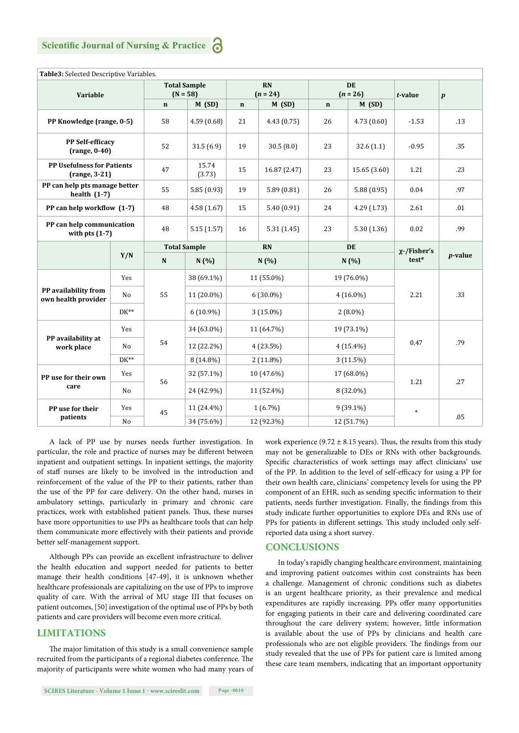| Table3: Selected Descriptive Variables.            |                |                                   |                                             |             |              |                                                  |              |                   |                  |  |  |
|----------------------------------------------------|----------------|-----------------------------------|---------------------------------------------|-------------|--------------|--------------------------------------------------|--------------|-------------------|------------------|--|--|
| Variable                                           |                | <b>Total Sample</b><br>$(N = 58)$ |                                             | <b>RN</b>   |              | <b>DE</b><br>$(n = 26)$<br>M(SD)<br>$\mathbf{n}$ |              | $t$ -value        | $\boldsymbol{p}$ |  |  |
|                                                    |                | $\mathbf n$                       | $(n = 24)$<br>M(SD)<br>M(SD)<br>$\mathbf n$ |             |              |                                                  |              |                   |                  |  |  |
| PP Knowledge (range, 0-5)                          |                | 58                                | 4.59 (0.68)                                 | 21          | 4.43(0.75)   | 26                                               | 4.73(0.60)   | $-1.53$           | .13              |  |  |
| <b>PP Self-efficacy</b><br>$(range, 0-40)$         |                | 52                                | 31.5(6.9)                                   | 19          | 30.5(8.0)    | 23                                               | 32.6(1.1)    | $-0.95$           | .35              |  |  |
| <b>PP Usefulness for Patients</b><br>(range, 3-21) |                | 47                                | 15.74<br>(3.73)                             | 15          | 16.87 (2.47) | 23                                               | 15.65 (3.60) | 1.21              | .23              |  |  |
| PP can help pts manage better<br>health $(1-7)$    |                | 55                                | 5.85(0.93)                                  | 19          | 5.89(0.81)   | 26                                               | 5.88(0.95)   | 0.04              | .97              |  |  |
| PP can help workflow (1-7)                         |                | 48                                | 4.58 (1.67)                                 | 15          | 5.40(0.91)   | 24                                               | 4.29(1.73)   | 2.61              | .01              |  |  |
| PP can help communication<br>with pts $(1-7)$      |                | 48                                | 5.15(1.57)                                  | 16          | 5.31(1.45)   | 23                                               | 5.30 (1.36)  | 0.02              | .99              |  |  |
|                                                    |                | <b>Total Sample</b>               |                                             | <b>RN</b>   |              | DE                                               |              | $\chi$ -/Fisher's |                  |  |  |
|                                                    | Y/N            | ${\bf N}$                         | N(%)                                        | N(%)        |              | N(%)                                             |              | $test*$           | $p$ -value       |  |  |
| PP availability from<br>own health provider        | Yes            | 55                                | 38 (69.1%)                                  | 11 (55.0%)  |              | 19 (76.0%)                                       |              | 2.21              | .33              |  |  |
|                                                    | N <sub>o</sub> |                                   | 11 (20.0%)                                  | $6(30.0\%)$ |              | $4(16.0\%)$                                      |              |                   |                  |  |  |
|                                                    | $DK^{**}$      |                                   | $6(10.9\%)$                                 | $3(15.0\%)$ |              | $2(8.0\%)$                                       |              |                   |                  |  |  |
| PP availability at<br>work place                   | Yes            |                                   | 34 (63.0%)                                  | 11 (64.7%)  |              | 19 (73.1%)                                       |              | 0.47              |                  |  |  |
|                                                    | No             | 54                                | 12 (22.2%)                                  | $4(23.5\%)$ |              | $4(15.4\%)$                                      |              |                   | .79              |  |  |
|                                                    | $DK^{**}$      |                                   | 8 (14.8%)                                   | $2(11.8\%)$ |              | $3(11.5\%)$                                      |              |                   |                  |  |  |
| PP use for their own<br>care                       | Yes            | 56                                | 32 (57.1%)                                  | 10 (47.6%)  |              | 17 (68.0%)                                       |              | 1.21              | .27              |  |  |
|                                                    | No             |                                   | 24 (42.9%)                                  | 11 (52.4%)  |              | 8 (32.0%)                                        |              |                   |                  |  |  |
| PP use for their<br>patients                       | Yes            | 45                                | 11 (24.4%)                                  | $1(6.7\%)$  |              | $9(39.1\%)$                                      |              | *                 | .05              |  |  |
|                                                    | $\rm No$       |                                   | 34 (75.6%)                                  | 12 (92.3%)  |              | 12 (51.7%)                                       |              |                   |                  |  |  |

A lack of PP use by nurses needs further investigation. In particular, the role and practice of nurses may be different between inpatient and outpatient settings. In inpatient settings, the majority of staff nurses are likely to be involved in the introduction and reinforcement of the value of the PP to their patients, rather than the use of the PP for care delivery. On the other hand, nurses in ambulatory settings, particularly in primary and chronic care practices, work with established patient panels. Thus, these nurses have more opportunities to use PPs as healthcare tools that can help them communicate more effectively with their patients and provide better self-management support.

Although PPs can provide an excellent infrastructure to deliver the health education and support needed for patients to better manage their health conditions [47-49], it is unknown whether healthcare professionals are capitalizing on the use of PPs to improve quality of care. With the arrival of MU stage III that focuses on patient outcomes, [50] investigation of the optimal use of PPs by both patients and care providers will become even more critical.

### **LIMITATIONS**

The major limitation of this study is a small convenience sample recruited from the participants of a regional diabetes conference. The majority of participants were white women who had many years of

work experience (9.72  $\pm$  8.15 years). Thus, the results from this study may not be generalizable to DEs or RNs with other backgrounds. Specific characteristics of work settings may affect clinicians' use of the PP. In addition to the level of self-efficacy for using a PP for their own health care, clinicians' competency levels for using the PP component of an EHR, such as sending specific information to their patients, needs further investigation. Finally, the findings from this study indicate further opportunities to explore DEs and RNs use of PPs for patients in different settings. This study included only selfreported data using a short survey.

#### **CONCLUSIONS**

In today's rapidly changing healthcare environment, maintaining and improving patient outcomes within cost constraints has been a challenge. Management of chronic conditions such as diabetes is an urgent healthcare priority, as their prevalence and medical expenditures are rapidly increasing. PPs offer many opportunities for engaging patients in their care and delivering coordinated care throughout the care delivery system; however, little information is available about the use of PPs by clinicians and health care professionals who are not eligible providers. The findings from our study revealed that the use of PPs for patient care is limited among these care team members, indicating that an important opportunity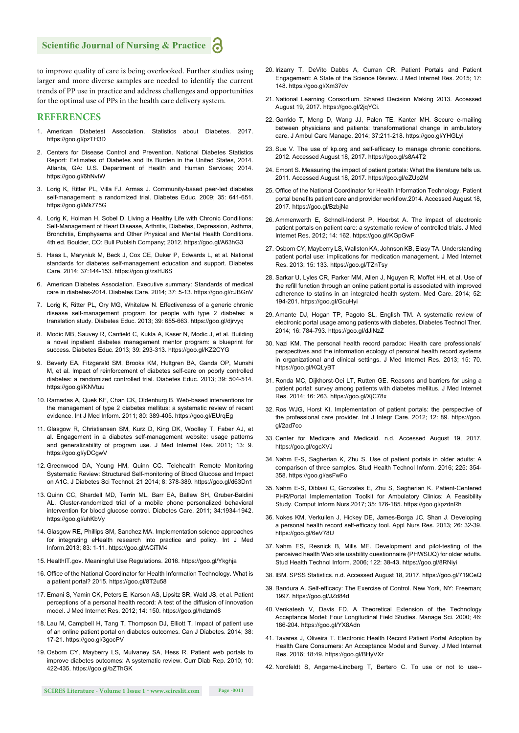to improve quality of care is being overlooked. Further studies using larger and more diverse samples are needed to identify the current trends of PP use in practice and address challenges and opportunities for the optimal use of PPs in the health care delivery system.

## **REFERENCES**

- 1. American Diabetest Association. Statistics about Diabetes. 2017. https://goo.gl/pzTH3D
- 2. Centers for Disease Control and Prevention. National Diabetes Statistics Report: Estimates of Diabetes and Its Burden in the United States, 2014. Atlanta, GA: U.S. Department of Health and Human Services; 2014. https://goo.gl/6hNvtW
- 3. Lorig K, Ritter PL, Villa FJ, Armas J. Community-based peer-led diabetes self-management: a randomized trial. Diabetes Educ. 2009; 35: 641-651. https://goo.gl/Mk775G
- 4. Lorig K, Holman H, Sobel D. Living a Healthy Life with Chronic Conditions: Self-Management of Heart Disease, Arthritis, Diabetes, Depression, Asthma, Bronchitis, Emphysema and Other Physical and Mental Health Conditions. 4th ed. Boulder, CO: Bull Publsih Company; 2012. https://goo.gl/A63hG3
- 5. Haas L, Maryniuk M, Beck J, Cox CE, Duker P, Edwards L, et al. National standards for diabetes self-management education and support. Diabetes Care. 2014; 37:144-153. https://goo.gl/zsHJ6S
- 6. American Diabetes Association. Executive summary: Standards of medical care in diabetes-2014. Diabetes Care. 2014; 37: 5-13. https://goo.gl/cJBGnV
- 7. Lorig K, Ritter PL, Ory MG, Whitelaw N. Effectiveness of a generic chronic disease self-management program for people with type 2 diabetes: a translation study. Diabetes Educ. 2013; 39: 655-663. https://goo.gl/djrvyq
- 8. Modic MB, Sauvey R, Canfield C, Kukla A, Kaser N, Modic J, et al. Building a novel inpatient diabetes management mentor program: a blueprint for success. Diabetes Educ. 2013; 39: 293-313. https://goo.gl/KZ2CYG
- 9. Beverly EA, Fitzgerald SM, Brooks KM, Hultgren BA, Ganda OP, Munshi M, et al. Impact of reinforcement of diabetes self-care on poorly controlled diabetes: a randomized controlled trial. Diabetes Educ. 2013; 39: 504-514. https://goo.gl/KNVtuu
- 10. Ramadas A, Quek KF, Chan CK, Oldenburg B. Web-based interventions for the management of type 2 diabetes mellitus: a systematic review of recent evidence. Int J Med Inform. 2011; 80: 389-405. https://goo.gl/EUrqEg
- 11. Glasgow R, Christiansen SM, Kurz D, King DK, Woolley T, Faber AJ, et al. Engagement in a diabetes self-management website: usage patterns and generalizability of program use. J Med Internet Res. 2011; 13: 9. https://goo.gl/yDCgwV
- 12. Greenwood DA, Young HM, Quinn CC. Telehealth Remote Monitoring Systematic Review: Structured Self-monitoring of Blood Glucose and Impact on A1C. J Diabetes Sci Technol. 21 2014; 8: 378-389. https://goo.gl/d63Dn1
- 13. Quinn CC, Shardell MD, Terrin ML, Barr EA, Ballew SH, Gruber-Baldini AL. Cluster-randomized trial of a mobile phone personalized behavioral intervention for blood glucose control. Diabetes Care. 2011; 34:1934-1942. https://goo.gl/uhKbVy
- 14. Glasgow RE, Phillips SM, Sanchez MA. Implementation science approaches for integrating eHealth research into practice and policy. Int J Med Inform.2013; 83: 1-11. https://goo.gl/ACiTM4
- 15. HealthIT.gov. Meaningful Use Regulations. 2016. https://goo.gl/Ykghja
- 16. Office of the National Coordinator for Health Information Technology. What is a patient portal? 2015. https://goo.gl/8T2u58
- 17. Emani S, Yamin CK, Peters E, Karson AS, Lipsitz SR, Wald JS, et al. Patient perceptions of a personal health record: A test of the diffusion of innovation model. J Med Internet Res. 2012; 14: 150. https://goo.gl/hdzmd8
- 18. Lau M, Campbell H, Tang T, Thompson DJ, Elliott T. Impact of patient use of an online patient portal on diabetes outcomes. Can J Diabetes. 2014; 38: 17-21. https://goo.gl/3gocPV
- 19. Osborn CY, Mayberry LS, Mulvaney SA, Hess R. Patient web portals to improve diabetes outcomes: A systematic review. Curr Diab Rep. 2010; 10: 422-435. https://goo.gl/bZThGK
- 20. Irizarry T, DeVito Dabbs A, Curran CR. Patient Portals and Patient Engagement: A State of the Science Review. J Med Internet Res. 2015; 17: 148. https://goo.gl/Xm37dv
- 21. National Learning Consortium. Shared Decision Making 2013. Accessed August 19, 2017. https://goo.gl/2jqYCi.
- 22. Garrido T, Meng D, Wang JJ, Palen TE, Kanter MH. Secure e-mailing between physicians and patients: transformational change in ambulatory care. J Ambul Care Manage. 2014; 37:211-218. https://goo.gl/YHGLyi
- 23. Sue V. The use of kp.org and self-efficacy to manage chronic conditions. 2012. Accessed August 18, 2017. https://goo.gl/s8A4T2
- 24. Emont S. Measuring the impact of patient portals: What the literature tells us. 2011. Accessed August 18, 2017. https://goo.gl/eZUp2M
- 25. Office of the National Coordinator for Health Information Technology. Patient portal benefits patient care and provider workflow.2014. Accessed August 18, 2017. https://goo.gl/BzbjNa
- 26. Ammenwerth E, Schnell-Inderst P, Hoerbst A. The impact of electronic patient portals on patient care: a systematic review of controlled trials. J Med Internet Res. 2012; 14: 162. https://goo.gl/KGpGwF
- 27. Osborn CY, Mayberry LS, Wallston KA, Johnson KB, Elasy TA. Understanding patient portal use: implications for medication management. J Med Internet Res. 2013; 15: 133. https://goo.gl/TZnTsy
- 28. Sarkar U, Lyles CR, Parker MM, Allen J, Nguyen R, Moffet HH, et al. Use of the refill function through an online patient portal is associated with improved adherence to statins in an integrated health system. Med Care. 2014; 52: 194-201. https://goo.gl/GcuHyi
- 29. Amante DJ, Hogan TP, Pagoto SL, English TM. A systematic review of electronic portal usage among patients with diabetes. Diabetes Technol Ther. 2014; 16: 784-793. https://goo.gl/dJiNzZ
- 30. Nazi KM. The personal health record paradox: Health care professionals' perspectives and the information ecology of personal health record systems in organizational and clinical settings. J Med Internet Res. 2013; 15: 70. https://goo.gl/KQLyBT
- 31. Ronda MC, Dijkhorst-Oei LT, Rutten GE. Reasons and barriers for using a patient portal: survey among patients with diabetes mellitus. J Med Internet Res. 2014; 16: 263. https://goo.gl/XjC78x
- 32. Ros WJG, Horst Kt. Implementation of patient portals: the perspective of the professional care provider. Int J Integr Care. 2012; 12: 89. https://goo. gl/2ad7co
- 33. Center for Medicare and Medicaid. n.d. Accessed August 19, 2017. https://goo.gl/cgcXVJ
- 34. Nahm E-S, Sagherian K, Zhu S. Use of patient portals in older adults: A comparison of three samples. Stud Health Technol Inform. 2016; 225: 354- 358. https://goo.gl/asFwFo
- 35. Nahm E-S, Diblasi C, Gonzales E, Zhu S, Sagherian K. Patient-Centered PHR/Portal Implementation Toolkit for Ambulatory Clinics: A Feasibility Study. Comput Inform Nurs.2017; 35: 176-185. https://goo.gl/pzdnRh
- 36. Nokes KM, Verkuilen J, Hickey DE, James-Borga JC, Shan J. Developing a personal health record self-efficacy tool. Appl Nurs Res. 2013; 26: 32-39. https://goo.gl/6eV78U
- 37. Nahm ES, Resnick B, Mills ME. Development and pilot-testing of the perceived health Web site usability questionnaire (PHWSUQ) for older adults. Stud Health Technol Inform. 2006; 122: 38-43. https://goo.gl/8RNiyi
- 38. IBM. SPSS Statistics. n.d. Accessed August 18, 2017. https://goo.gl/719CeQ
- 39. Bandura A. Self-efficacy: The Exercise of Control. New York, NY: Freeman; 1997. https://goo.gl/JZd84d
- 40. Venkatesh V, Davis FD. A Theoretical Extension of the Technology Acceptance Model: Four Longitudinal Field Studies. Manage Sci. 2000; 46: 186-204. https://goo.gl/YX8Adn
- 41. Tavares J, Oliveira T. Electronic Health Record Patient Portal Adoption by Health Care Consumers: An Acceptance Model and Survey. J Med Internet Res. 2016; 18:49. https://goo.gl/BHyVXr
- 42. Nordfeldt S, Angarne-Lindberg T, Bertero C. To use or not to use--